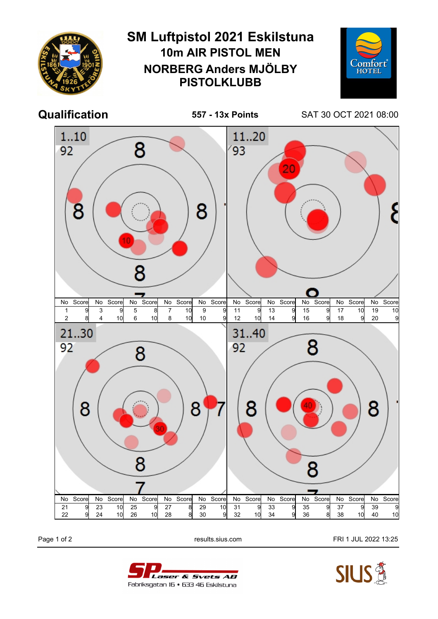

Page 1 of 2 **Page 1 of 2** results.sius.com **FRI 1 JUL 2022 13:25**